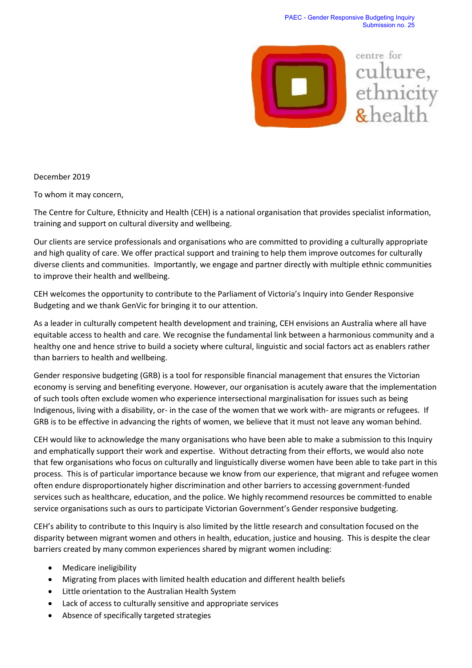

December 2019

To whom it may concern,

The Centre for Culture, Ethnicity and Health (CEH) is a national organisation that provides specialist information, training and support on cultural diversity and wellbeing.

Our clients are service professionals and organisations who are committed to providing a culturally appropriate and high quality of care. We offer practical support and training to help them improve outcomes for culturally diverse clients and communities. Importantly, we engage and partner directly with multiple ethnic communities to improve their health and wellbeing.

CEH welcomes the opportunity to contribute to the Parliament of Victoria's Inquiry into Gender Responsive Budgeting and we thank GenVic for bringing it to our attention.

As a leader in culturally competent health development and training, CEH envisions an Australia where all have equitable access to health and care. We recognise the fundamental link between a harmonious community and a healthy one and hence strive to build a society where cultural, linguistic and social factors act as enablers rather than barriers to health and wellbeing.

Gender responsive budgeting (GRB) is a tool for responsible financial management that ensures the Victorian economy is serving and benefiting everyone. However, our organisation is acutely aware that the implementation of such tools often exclude women who experience intersectional marginalisation for issues such as being Indigenous, living with a disability, or- in the case of the women that we work with- are migrants or refugees. If GRB is to be effective in advancing the rights of women, we believe that it must not leave any woman behind.

CEH would like to acknowledge the many organisations who have been able to make a submission to this Inquiry and emphatically support their work and expertise. Without detracting from their efforts, we would also note that few organisations who focus on culturally and linguistically diverse women have been able to take part in this process. This is of particular importance because we know from our experience, that migrant and refugee women often endure disproportionately higher discrimination and other barriers to accessing government-funded services such as healthcare, education, and the police. We highly recommend resources be committed to enable service organisations such as ours to participate Victorian Government's Gender responsive budgeting.

CEH's ability to contribute to this Inquiry is also limited by the little research and consultation focused on the disparity between migrant women and others in health, education, justice and housing. This is despite the clear barriers created by many common experiences shared by migrant women including:

- Medicare ineligibility
- Migrating from places with limited health education and different health beliefs
- Little orientation to the Australian Health System
- Lack of access to culturally sensitive and appropriate services
- Absence of specifically targeted strategies